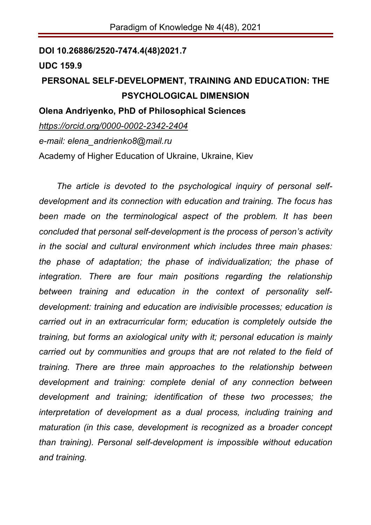**DOI 10.26886/2520-7474.4(48)2021.7**

## **UDC 159.9**

## **PERSONAL SELF-DEVELOPMENT, TRAINING AND EDUCATION: THE PSYCHOLOGICAL DIMENSION**

## **Olena Andriyenko, PhD of Philosophical Sciences**

*https://orcid.org/0000-0002-2342-2404 e-mail: elena\_andrienko8@mail.ru*  Academy of Higher Education of Ukraine, Ukraine, Kiev

*The article is devoted to the psychological inquiry of personal selfdevelopment and its connection with education and training. The focus has been made on the terminological aspect of the problem. It has been concluded that personal self-development is the process of person's activity in the social and cultural environment which includes three main phases: the phase of adaptation; the phase of individualization; the phase of integration. There are four main positions regarding the relationship between training and education in the context of personality selfdevelopment: training and education are indivisible processes; education is carried out in an extracurricular form; education is completely outside the training, but forms an axiological unity with it; personal education is mainly carried out by communities and groups that are not related to the field of training. There are three main approaches to the relationship between development and training: complete denial of any connection between development and training; identification of these two processes; the interpretation of development as a dual process, including training and maturation (in this case, development is recognized as a broader concept than training). Personal self-development is impossible without education and training.*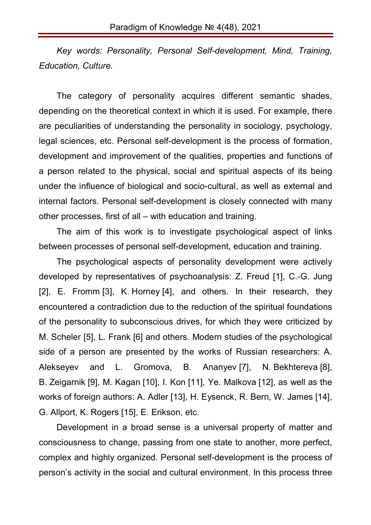*Key words: Personality, Personal Self-development, Mind, Training, Education, Culture.*

The category of personality acquires different semantic shades, depending on the theoretical context in which it is used. For example, there are peculiarities of understanding the personality in sociology, psychology, legal sciences, etc. Personal self-development is the process of formation, development and improvement of the qualities, properties and functions of a person related to the physical, social and spiritual aspects of its being under the influence of biological and socio-cultural, as well as external and internal factors. Personal self-development is closely connected with many other processes, first of all – with education and training.

The aim of this work is to investigate psychological aspect of links between processes of personal self-development, education and training.

The psychological aspects of personality development were actively developed by representatives of psychoanalysis: Z. Freud [1], C.-G. Jung [2], E. Fromm [3], K. Horney [4], and others. In their research, they encountered a contradiction due to the reduction of the spiritual foundations of the personality to subconscious drives, for which they were criticized by M. Scheler [5], L. Frank [6] and others. Modern studies of the psychological side of a person are presented by the works of Russian researchers: A. Alekseyev and L. Gromova, B. Ananyev [7], N. Bekhtereva [8], B. Zeigarnik [9], M. Kagan [10], I. Kon [11], Ye. Malkova [12], as well as the works of foreign authors: A. Adler [13], H. Eysenck, R. Bern, W. James [14], G. Allport, K. Rogers [15], E. Erikson, etc.

Development in a broad sense is a universal property of matter and consciousness to change, passing from one state to another, more perfect, complex and highly organized. Personal self-development is the process of person's activity in the social and cultural environment. In this process three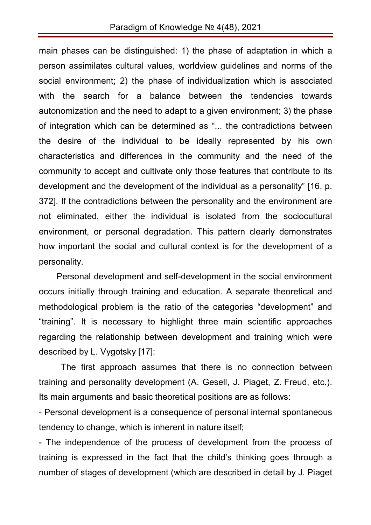main phases can be distinguished: 1) the phase of adaptation in which a person assimilates cultural values, worldview guidelines and norms of the social environment; 2) the phase of individualization which is associated with the search for a balance between the tendencies towards autonomization and the need to adapt to a given environment; 3) the phase of integration which can be determined as "... the contradictions between the desire of the individual to be ideally represented by his own characteristics and differences in the community and the need of the community to accept and cultivate only those features that contribute to its development and the development of the individual as a personality" [16, p. 372]. If the contradictions between the personality and the environment are not eliminated, either the individual is isolated from the sociocultural environment, or personal degradation. This pattern clearly demonstrates how important the social and cultural context is for the development of a personality.

Personal development and self-development in the social environment occurs initially through training and education. A separate theoretical and methodological problem is the ratio of the categories "development" and "training". It is necessary to highlight three main scientific approaches regarding the relationship between development and training which were described by L. Vygotsky [17]:

The first approach assumes that there is no connection between training and personality development (A. Gesell, J. Piaget, Z. Freud, etc.). Its main arguments and basic theoretical positions are as follows:

- Personal development is a consequence of personal internal spontaneous tendency to change, which is inherent in nature itself;

- The independence of the process of development from the process of training is expressed in the fact that the child's thinking goes through a number of stages of development (which are described in detail by J. Piaget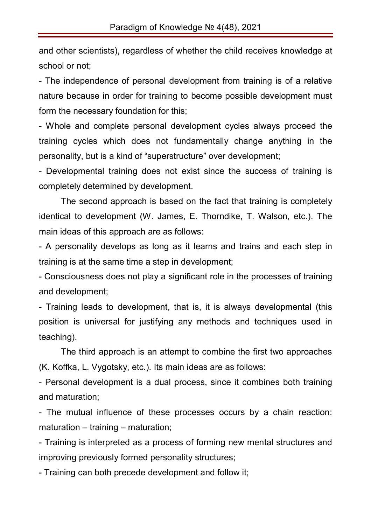and other scientists), regardless of whether the child receives knowledge at school or not;

- The independence of personal development from training is of a relative nature because in order for training to become possible development must form the necessary foundation for this;

- Whole and complete personal development cycles always proceed the training cycles which does not fundamentally change anything in the personality, but is a kind of "superstructure" over development;

- Developmental training does not exist since the success of training is completely determined by development.

The second approach is based on the fact that training is completely identical to development (W. James, E. Thorndike, T. Walson, etc.). The main ideas of this approach are as follows:

- A personality develops as long as it learns and trains and each step in training is at the same time a step in development;

- Consciousness does not play a significant role in the processes of training and development;

- Training leads to development, that is, it is always developmental (this position is universal for justifying any methods and techniques used in teaching).

The third approach is an attempt to combine the first two approaches (K. Koffka, L. Vygotsky, etc.). Its main ideas are as follows:

- Personal development is a dual process, since it combines both training and maturation;

- The mutual influence of these processes occurs by a chain reaction: maturation – training – maturation;

- Training is interpreted as a process of forming new mental structures and improving previously formed personality structures;

- Training can both precede development and follow it;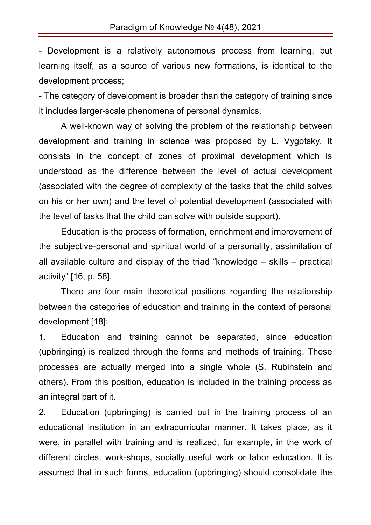- Development is a relatively autonomous process from learning, but learning itself, as a source of various new formations, is identical to the development process;

- The category of development is broader than the category of training since it includes larger-scale phenomena of personal dynamics.

A well-known way of solving the problem of the relationship between development and training in science was proposed by L. Vygotsky. It consists in the concept of zones of proximal development which is understood as the difference between the level of actual development (associated with the degree of complexity of the tasks that the child solves on his or her own) and the level of potential development (associated with the level of tasks that the child can solve with outside support).

Education is the process of formation, enrichment and improvement of the subjective-personal and spiritual world of a personality, assimilation of all available culture and display of the triad "knowledge – skills – practical activity" [16, p. 58].

There are four main theoretical positions regarding the relationship between the categories of education and training in the context of personal development [18]:

1. Education and training cannot be separated, since education (upbringing) is realized through the forms and methods of training. These processes are actually merged into a single whole (S. Rubinstein and others). From this position, education is included in the training process as an integral part of it.

2. Education (upbringing) is carried out in the training process of an educational institution in an extracurricular manner. It takes place, as it were, in parallel with training and is realized, for example, in the work of different circles, work-shops, socially useful work or labor education. It is assumed that in such forms, education (upbringing) should consolidate the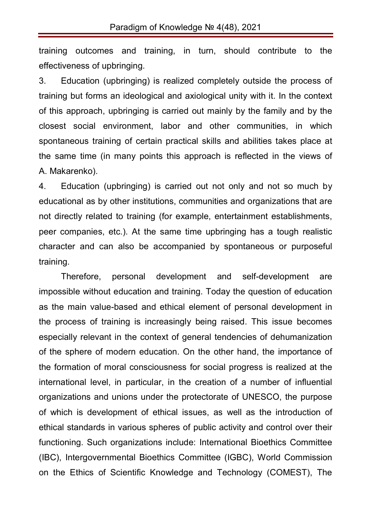training outcomes and training, in turn, should contribute to the effectiveness of upbringing.

3. Education (upbringing) is realized completely outside the process of training but forms an ideological and axiological unity with it. In the context of this approach, upbringing is carried out mainly by the family and by the closest social environment, labor and other communities, in which spontaneous training of certain practical skills and abilities takes place at the same time (in many points this approach is reflected in the views of A. Makarenko).

4. Education (upbringing) is carried out not only and not so much by educational as by other institutions, communities and organizations that are not directly related to training (for example, entertainment establishments, peer companies, etc.). At the same time upbringing has a tough realistic character and can also be accompanied by spontaneous or purposeful training.

Therefore, personal development and self-development are impossible without education and training. Today the question of education as the main value-based and ethical element of personal development in the process of training is increasingly being raised. This issue becomes especially relevant in the context of general tendencies of dehumanization of the sphere of modern education. On the other hand, the importance of the formation of moral consciousness for social progress is realized at the international level, in particular, in the creation of a number of influential organizations and unions under the protectorate of UNESCO, the purpose of which is development of ethical issues, as well as the introduction of ethical standards in various spheres of public activity and control over their functioning. Such organizations include: International Bioethics Committee (IBC), Intergovernmental Bioethics Committee (IGBC), World Commission on the Ethics of Scientific Knowledge and Technology (COMEST), The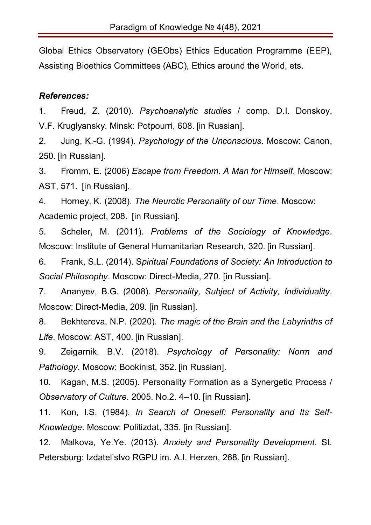Global Ethics Observatory (GEObs) Ethics Education Programme (EEP), Assisting Bioethics Committees (ABC), Ethics around the World, ets.

## *References:*

1. Freud, Z. (2010). *Psychoanalytic studies* / comp. D.I. Donskoy, V.F. Kruglyansky. Minsk: Potpourri, 608. [in Russian].

2. Jung, K.-G. (1994). *Psychology of the Unconscious*. Moscow: Canon, 250. [in Russian].

3. Fromm, E. (2006) *Escape from Freedom. A Man for Himself*. Moscow: AST, 571. [in Russian].

4. Horney, K. (2008). *The Neurotic Personality of our Time*. Moscow: Academic project, 208. [in Russian].

5. Scheler, M. (2011). *Problems of the Sociology of Knowledge*. Moscow: Institute of General Humanitarian Research, 320. [in Russian].

6. Frank, S.L. (2014). S*piritual Foundations of Society: An Introduction to Social Philosophy*. Moscow: Direct-Media, 270. [in Russian].

7. Ananyev, B.G. (2008). *Personality, Subject of Activity, Individuality*. Moscow: Direct-Media, 209. [in Russian].

8. Bekhtereva, N.P. (2020). *The magic of the Brain and the Labyrinths of Life*. Moscow: AST, 400. [in Russian].

9. Zeigarnik, B.V. (2018). *Psychology of Personality: Norm and Pathology*. Moscow: Bookinist, 352. [in Russian].

10. Kagan, M.S. (2005). Personality Formation as a Synergetic Process / *Observatory of Culture*. 2005. No.2. 4–10. [in Russian].

11. Kon, I.S. (1984). *In Search of Oneself: Personality and Its Self-Knowledge*. Moscow: Politizdat, 335. [in Russian].

12. Malkova, Ye.Ye. (2013). *Anxiety and Personality Development*. St. Petersburg: Izdatel'stvo RGPU im. A.I. Herzen, 268. [in Russian].